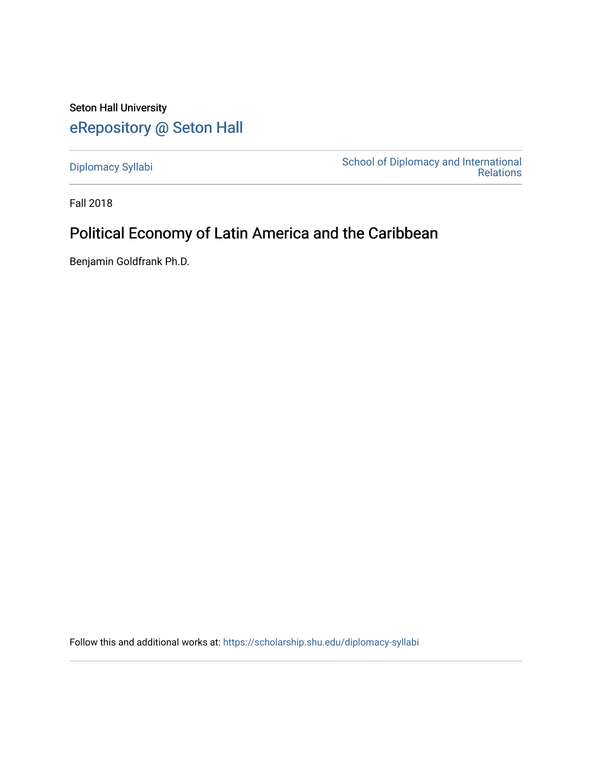Seton Hall University [eRepository @ Seton Hall](https://scholarship.shu.edu/)

[Diplomacy Syllabi](https://scholarship.shu.edu/diplomacy-syllabi) [School of Diplomacy and International](https://scholarship.shu.edu/diplomacy)  [Relations](https://scholarship.shu.edu/diplomacy) 

Fall 2018

# Political Economy of Latin America and the Caribbean

Benjamin Goldfrank Ph.D.

Follow this and additional works at: [https://scholarship.shu.edu/diplomacy-syllabi](https://scholarship.shu.edu/diplomacy-syllabi?utm_source=scholarship.shu.edu%2Fdiplomacy-syllabi%2F630&utm_medium=PDF&utm_campaign=PDFCoverPages)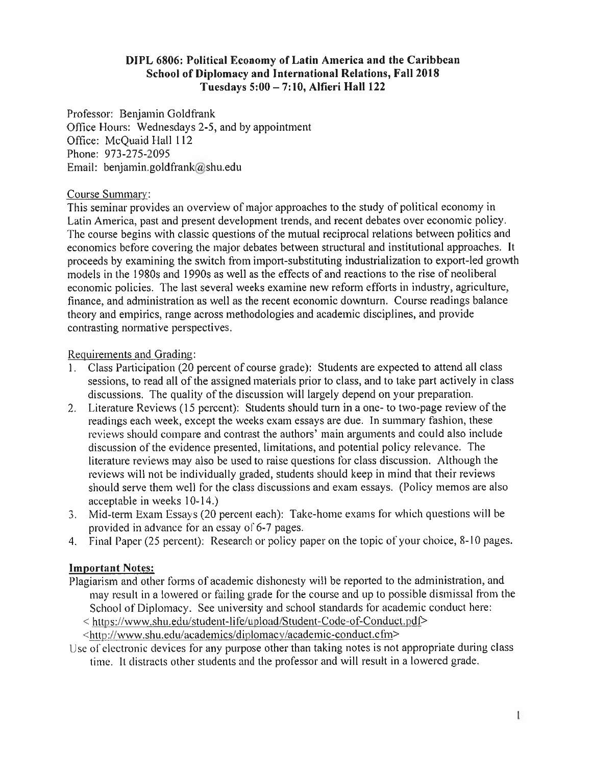#### **DIPL 6806: Political Economy of Latin America and the Caribbean School of Diplomacy and International Relations, Fall 2018 Tuesdays 5:00 - 7:10, Alfieri Hall 122**

Professor: Benjamin Goldfrank Office Hours: Wednesdays 2-5, and by appointment Office: McQuaid Hall 112 Phone: 973-275-2095 Email: benjamin.goldfrank@shu.edu

#### Course Summary:

This seminar provides an overview of major approaches to the study of political economy in Latin America, pas<sup>t</sup> and presen<sup>t</sup> development trends, and recent debates over economic policy. The course begins with classic questions of the mutual reciprocal relations between politics and economics before covering the major debates between structural and institutional approaches. It proceeds by examining the switch from import-substituting industrialization to export-led growth models in the 1980<sup>s</sup> and 1990<sup>s</sup> as well as the effects of and reactions to the rise of neoliberal economic policies. The last several weeks examine new reform efforts in industry, agriculture, finance, and administration as well as the recent economic downturn. Course readings balance theory and empirics, range across methodologies and academic disciplines, and provide contrasting normative perspectives.

#### Requirements and Grading:

- 1 . Class Participation (20 percen<sup>t</sup> of course grade): Students are expected to attend all class sessions, to read all of the assigned materials prior to class, and to take par<sup>t</sup> actively in class discussions. The quality of the discussion will largely depend on your preparation.
- 2. Literature Reviews (15 percent): Students should turn in <sup>a</sup> one- to two-page review of the readings each week, excep<sup>t</sup> the weeks exam essays are due. In summary fashion, these reviews should compare and contrast the authors' main arguments and could also include discussion of the evidence presented, limitations, and potential policy relevance. The literature reviews may also be used to raise questions for class discussion. Although the reviews will not be individually graded, students should keep in mind that their reviews should serve them well for the class discussions and exam essays. (Policy memos are also acceptable in weeks 10-14.)
- 3. Mid-term Exam Essays (20 percen<sup>t</sup> each): Take-home exams for which questions will be provided in advance for an essay of 6-7 pages.
- 4. Final Paper (25 percen<sup>t</sup>): Research or policy paper on the topic of your choice, 8-10 pages.

#### **Important Notes:**

Plagiarism and other forms of academic dishonesty will be reported to the administration, and may result in <sup>a</sup> lowered or failing grade for the course and up to possible dismissal from the School of Diplomacy. See university and school standards for academic conduct here:

<sup>&</sup>lt; https://www.shu.edu/student-life/upload/Student-Code-of-Conduct.pdf<sup>&</sup>gt;

- <sup>&</sup>lt;http://www.shu.edu/academics/diplomacv/academic-conduct.cfm<sup>&</sup>gt;
- Use of electronic devices for any purpose other than taking notes is not appropriate during class time. It distracts other students and the professor and will result in <sup>a</sup> lowered grade.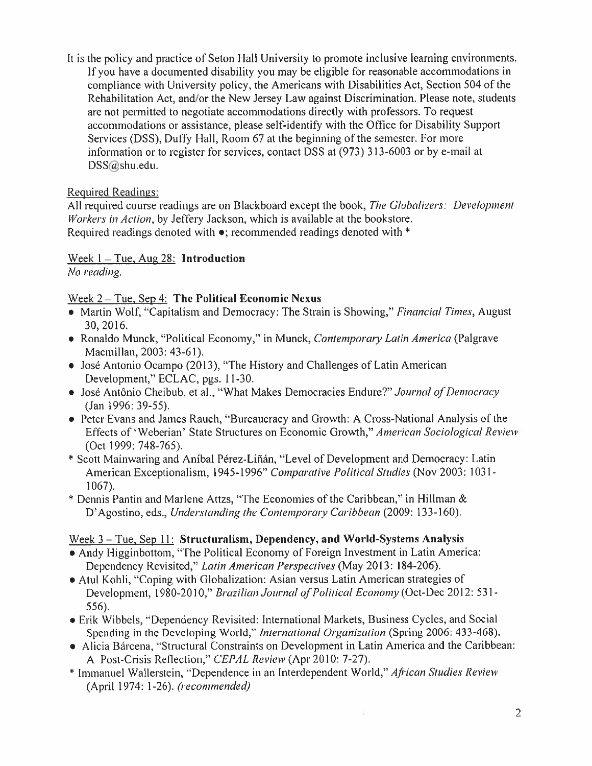It is the policy and practice of Seton Hall University to promote inclusive learning environments. If you have <sup>a</sup> documented disability you may be eligible for reasonable accommodations in compliance with University policy, the Americans with Disabilities Act, Section 504 of the Rehabilitation Act, and/or the New Jersey Law against Discrimination. Please note, students are not permitted to negotiate accommodations directly with professors. To reques<sup>t</sup> accommodations or assistance, please self-identify with the Office for Disability Support Services (DSS), Duffy Hall, Room 67 at the beginning of the semester. For more information or to register for services, contact DSS at (973) 313-6003 or by e-mail at DSS@shu.edu.

# Required Readings:

All required course readings are on Blackboard excep<sup>t</sup> the book, *The Globalizers: Development Workers in Action,* by Jeffery Jackson, which is available at the bookstore. Required readings denoted with •; recommended readings denoted with \*

Week 1 - Tue, Aug 28: **Introduction** 

*No reading.*

## Week 2 -Tue. Sep **4: The Political Economic Nexus**

- Martin Wolf, "Capitalism and Democracy: The Strain is Showing," *Financial Times,* August 30, 2016.
- Ronaldo Munck, "Political Economy," in Munck, *Contemporary Latin America* (Palgrave Macmillan, 2003: 43-61).
- José Antonio Ocampo (2013), "The History and Challenges of Latin American Development," ECLAC, pgs. 11-30.
- Jose Antonio Cheibub, et al., "What Makes Democracies Endure?" *Journal of Democracy* (Jan 1996: 39-55).
- Peter Evans and James Rauch, "Bureaucracy and Growth: A Cross-National Analysis of the Effects of 'Weberian' State Structures on Economic Growth," *American Sociological Review* (Oct 1999: 748-765).
- •Scott Mainwaring and Anibal Perez-Linan, "Level of Development and Democracy: Latin American Exceptionalism, 1945-1996" *Comparative Political Studies* (Nov 2003: 1031- 1067).
- •Dennis Pantin and Marlene Attzs, "The Economies of the Caribbean," in Hillman & D'Agostino, eds., *Understanding the Contemporary Caribbean* (2009: 133-160).

#### **Week 3** -Tue. Sep **11 : Structuralism, Dependency, and World-Systems Analysis**

- •Andy Higginbottom, "The Political Economy of Foreign Investment in Latin America: Dependency Revisited," *Latin American Perspectives* (May 2013: 184-206).
- •Atul Kohli, "Coping with Globalization: Asian versus Latin American strategies of Development, 1980-2010," *Brazilian Journal of Political Economy {*Oct-Dec 2012: 531- 556).
- •Erik Wibbels, "Dependency Revisited: International Markets, Business Cycles, and Social Spending in the Developing World," *International Organization* (Spring 2006: 433-468).
- Alicia Bárcena, "Structural Constraints on Development in Latin America and the Caribbean: A Post-Crisis Reflection," *CEPAL Review* (Apr 2010: 7-27).

품

•Immanuel Wallerstein, "Dependence in an Interdependent World," *African Studies Review* (April 1974: 1-26).*(recommended)*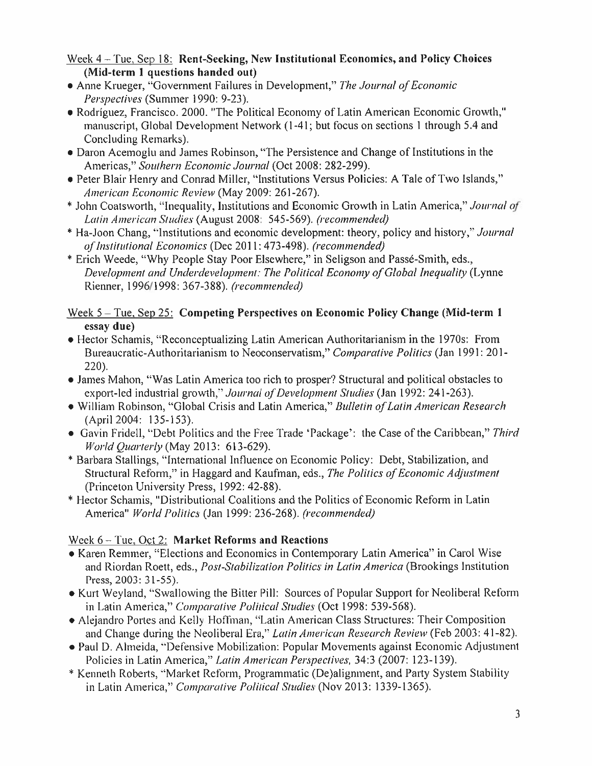Week 4 -Tue, Sep 18: **Rent-Seeking, New Institutional Economics, and Policy Choices (Mid-term 1 questions handed out)**

- •Anne Krueger, "Government Failures in Development," *The Journal of Economic Perspectives* (Summer 1990: 9-23).
- •Rodriguez, Francisco. 2000. "The Political Economy of Latin American Economic Growth," manuscript, Global Development Network (1-41; but focus on sections 1 through 5.4 and Concluding Remarks).
- •Daron Acemoglu and James Robinson, "The Persistence and Change of Institutions in the Americas," *Southern Economic Journal* (Oct 2008: 282-299).
- •Peter Blair Henry and Conrad Miller, "Institutions Versus Policies: <sup>A</sup> Tale of Two Islands," *American Economic Review* (May 2009: 261-267).
- •John Coatsworth, "Inequality, Institutions and Economic Growth in Latin America," *Journal of Latin American Studies* (August 2008: 545-569). *(recommended)*
- •Ha-Joon Chang, "Institutions and economic development: theory, policy and history," *Journal of Institutional Economics* (Dec 2011: 473-498). *(recommended)*
- •Erich Weede, "Why People Stay Poor Elsewhere," in Seligson and Passe-Smith, eds., *Development and Underdevelopment: The Political Economy of Global Inequality* (Lynne Rienner, 1996/1998: 367-388). *(recommended)*

## Week **5** -Tue. Sep **25: Competing Perspectives on Economic Policy Change (Mid-term 1 essay due)**

- •Hector Schamis, "Reconceptualizing Latin American Authoritarianism in the 1970s: From Bureaucratic-Authoritarianism to Neoconservatism," *Comparative Politics* (Jan 1991: 201- **220).**
- •James Mahon, "Was Latin America too rich to prosper? Structural and political obstacles to export-led industrial growth," *Journal of Development Studies* (Jan 1992: 241-263).
- •William Robinson, "Global Crisis and Latin America," *Bulletin of Latin American Research* (April 2004: 135-153).
- Gavin Fridell, "Debt Politics and the Free Trade 'Package': the Case of the Caribbean," *Third World Quarterly* (May 2013: 613-629).
- •Barbara Stallings, "International Influence on Economic Policy: Debt, Stabilization, and Structural Reform," in Haggard and Kaufman, eds., *The Politics of Economic Adjustment* (Princeton University Press, 1992: 42-88).
- •Hector Schamis, "Distributional Coalitions and the Politics of Economic Reform in Latin America" *World Politics* (Jan 1999: 236-268). *(recommended)*

# Week 6 -Tue, Oct 2: **Market Reforms and Reactions**

- •Karen Remmer, "Elections and Economics in Contemporary Latin America" in Carol Wise and Riordan Roett, eds., *Post-Stabilization Politicsin Latin America* (Brookings Institution Press, 2003: 31-55).
- •Kurt Weyland, "Swallowing the Bitter Pill: Sources of Popular Support for Neoliberal Reform in Latin America," *Comparative Political Studies* (Oct 1998: 539-568).
- •Alejandro Portes and Kelly Hoffman, "Latin American Class Structures: Their Composition and Change during the Neoliberal Era," *Latin American Research Review* (Feb 2003: 41-82).
- •Paul D. Almeida, "Defensive Mobilization: Popular Movements against Economic Adjustment Policies in Latin America," *Latin American Perspectives,* 34:3 (2007: 123-139).
- •Kenneth Roberts, "Market Reform, Programmatic (De)alignment, and Party System Stability in Latin America," *Comparative Political Studies* (Nov 2013: 1339-1365).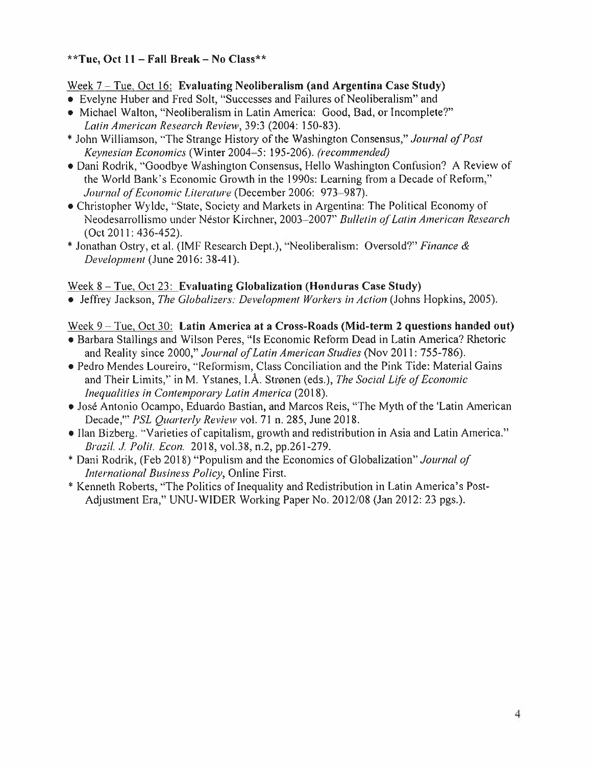## **\*\*Tuc, Oct 11 -Fall Break - No Class\*\***

#### **Week** 7 -Tue.Oct 16: **Evaluating Neoliberalism (and Argentina Case Study)**

- Evelyne Huber and Fred Solt, "Successes and Failures of Neoliberalism" and
- Michael Walton, "Neoliberalism in Latin America: Good, Bad, or Incomplete?" *Latin American Research Review,* 39:3 (2004: 150-83).
- •John Williamson, "The Strange History of the Washington Consensus," *Journal of Post Keynesian Economics* (Winter 2004-5: 195-206). *(recommended)*
- •Dani Rodrik, "Goodbye Washington Consensus, Hello Washington Confusion? <sup>A</sup> Review of the World Bank's Economic Growth in the 1990s: Learning from <sup>a</sup> Decade of Reform," *Journal of Economic Literature* (December 2006: 973 987).
- •Christopher Wylde, "State, Society and Markets in Argentina: The Political Economy of Neodesarrollismo under Nestor Kirchner, 2003-2007" *Bulletin of Latin American Research* (Oct 2011: 436-452).
- •Jonathan Ostry, et al. (IMF Research Dept.), "Neoliberalism: Oversold?" *Finance & Development* (June 2016: 38-41).

#### Week 8 -Tue, Oct 23: **Evaluating Globalization (Honduras Case Study)**

• Jeffrey Jackson, *The Globalizes: Development Workers in Action* (Johns Hopkins, 2005).

#### Week 9-Tue, Oct 30: **Latin America at <sup>a</sup> Cross-Roads (Mid-term 2 questions handed out)**

- •Barbara Stallings and Wilson Peres, "Is Economic Reform Dead in Latin America? Rhetoric and Reality since 2000," *Journal of Latin American Studies* (Nov 2011: 755-786).
- •Pedro Mendes Loureiro, "Reformism, Class Conciliation and the Pink Tide: Material Gains and Their Limits," in M. Ystanes, **I.A.** Stronen (eds.), *The Social Life of Economic Inequalities in Contemporary Latin America* (2018).
- •Jose Antonio Ocampo, Eduardo Bastian, and Marcos Reis, "The Myth of the 'Latin American Decade,'" *PSL Quarterly Review* vol. 71 n. 285, June 2018.
- Ilan Bizberg. "Varieties of capitalism, growth and redistribution in Asia and Latin America." *Brazil. J. Polit. Econ.* 2018, vol.38, n.2, pp.261-279.
- •Dani Rodrik, (Feb 2018) "Populism and the Economics of Globalization" *Journal of International Business Policy,* Online First.
- •Kenneth Roberts, "The Politics of Inequality and Redistribution in Latin America's Post-Adjustment Era," UNU-WIDER Working Paper No. 2012/08 (Jan 2012: 23 pgs.).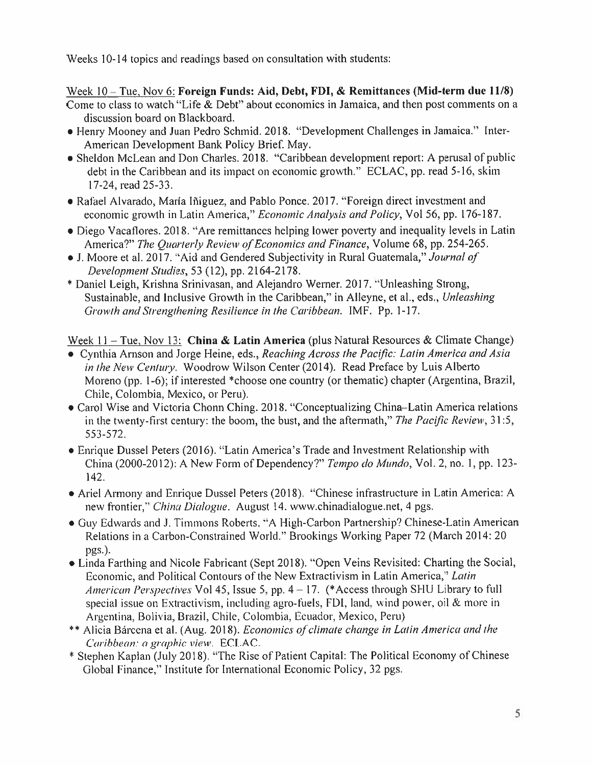Weeks 10-14 topics and readings based on consultation with students:

## Week 10 - Tue, Nov 6: Foreign Funds: Aid, Debt, FDI, & Remittances (Mid-term due 11/8)

Come to class to watch "Life & Debt" about economics in Jamaica, and then pos<sup>t</sup> comments on <sup>a</sup> discussion board on Blackboard.

- •Henry Mooney and Juan Pedro Schmid. 2018. "Development Challenges in Jamaica." Inter-American Development Bank Policy Brief. May.
- •Sheldon McLean and Don Charles. 2018. "Caribbean development report: <sup>A</sup> perusal of public debt in the Caribbean and its impact on economic growth." ECLAC, pp. read 5-16, skim 17-24, read 25-33.
- Rafael Alvarado, María Iñiguez, and Pablo Ponce. 2017. "Foreign direct investment and economic growth in Latin America," *Economic Analysis and Policy,* Vol 56, pp. 176-187.
- •Diego Vacaflores. 2018. "Are remittances helping lower poverty and inequality levels in Latin America?" *The Quarterly Review of Economics and Finance,* Volume 68, pp. 254-265.
- •J. Moore et al. 2017. "Aid and Gendered Subjectivity in Rural Guatemala," *Journal of Development Studies,* 53 (12), pp. 2164-2178.
- •Daniel Leigh, Krishna Srinivasan, and Alejandro Werner. 2017. "Unleashing Strong, Sustainable, and Inclusive Growth in the Caribbean," in Alleyne, et al., eds., *Unleashing Growth and Strengthening Resilience in the Caribbean.* IMF. Pp. 1-17.

Week  $11 -$ Tue, Nov 13: China & Latin America (plus Natural Resources & Climate Change)

- Cynthia Arnson and Jorge Heine, eds., *Reaching Across the Pacific: Latin America and Asia in the New Century.* Woodrow Wilson Center (2014). Read Preface by Luis Alberto Moreno (pp. 1-6); if interested \*choose one country (or thematic) chapter (Argentina, Brazil, Chile, Colombia, Mexico, or Peru).
- •Carol Wise and Victoria Chonn Ching. 2018. "Conceptualizing China-Latin America relations in the twenty-first century: the boom, the bust, and the aftermath," *The Pacific Review,* 31:5, 553-572.
- •Enrique Dussel Peters (2016). "Latin America's Trade and Investment Relationship with China (2000-2012): <sup>A</sup> New Form of Dependency?" *Tempo do Mundo,* Vol. 2, no. 1 , pp. 123- 142.
- •Ariel Armony and Enrique Dussel Peters (2018). "Chinese infrastructure in Latin America: A new frontier," *China Dialogue.* August 14. www.chinadialogue.net, 4 pgs.
- •Guy Edwards and J. Timmons Roberts. "A High-Carbon Partnership? Chinese-Latin American Relations in <sup>a</sup> Carbon-Constrained World." Brookings Working Paper 72 (March 2014: 20 pgs.).
- •Linda Farthing and Nicole Fabricant (Sept 2018). "Open Veins Revisited: Charting the Social, Economic, and Political Contours of the New Extractivism in Latin America," *Latin American Perspectives* Vol 45, Issue 5, pp. 4 -17. (\*Access through SHU Library to full special issue on Extractivism, including agro-fuels, FDI, land, wind power, oil & more in Argentina, Bolivia, Brazil, Chile, Colombia, Ecuador, Mexico, Peru)
- \*\* Alicia Barcena et al. (Aug. 2018). *Economics of climate change in Latin America and the Caribbean: <sup>a</sup> graphic view.* ECLAC.
- •Stephen Kaplan (July 2018). "The Rise of Patient Capital: The Political Economy of Chinese Global Finance," Institute for International Economic Policy, 32 pgs.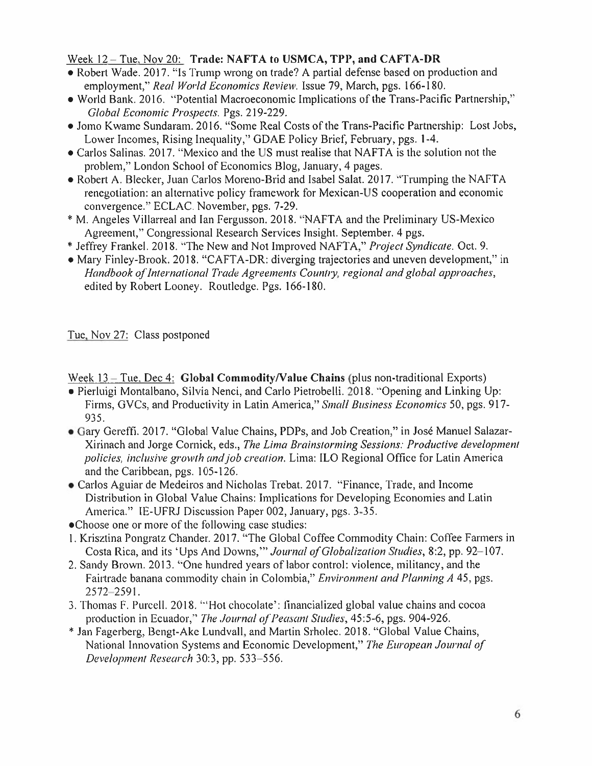#### Week **12 -**Tue. Nov **20: Trade: NAFTA to USMCA, TPP, and CAFTA-DR**

- •Robert Wade. 2017. "Is Trump wrong on trade? <sup>A</sup> partial defense based on production and employment," *Recti World Economics Review.* Issue 79, March, pgs. 166-180.
- •World Bank. 2016. "Potential Macroeconomic Implications of the Trans-Pacific Partnership," *Global Economic Prospects.* Pgs. 219-229.
- •Jomo Kwame Sundaram. 2016. "Some Real Costs of the Trans-Pacific Partnership: Lost Jobs, Lower Incomes, Rising Inequality," GDAE Policy Brief, February, pgs. 1-4.
- •Carlos Salinas. 2017. "Mexico and the US must realise that NAFTA is the solution not the problem," London School of Economics Blog, January, 4 pages.
- •Robert A. Blecker, Juan Carlos Moreno-Brid and Isabel Salat. 2017. "Trumping the NAFTA renegotiation: an alternative policy framework for Mexican-US cooperation and economic convergence." ECLAC. November, pgs. 7-29.
- •M. Angeles Villarreal and Ian Fergusson. 2018. "NAFTA and the Preliminary US-Mexico Agreement," Congressional Research Services Insight. September. 4 pgs.
- •Jeffrey Frankel. 2018. "The New and Not Improved NAFTA," *Project Syndicate.* Oct. 9.
- •Mary Finley-Brook. 2018. "CAFTA-DR: diverging trajectories and uneven development," in *Handbook of International Trade Agreements Country,regional and global approaches,* edited by Robert Looney. Routledge. Pgs. 166-180.

Tue, Nov 27: Class postponed

Week 13 – Tue, Dec 4: **Global Commodity/Value Chains** (plus non-traditional Exports)

- Pierluigi Montalbano, Silvia Nenci, and Carlo Pietrobelli. 2018. "Opening and Linking Up: Firms, GVCs, and Productivity in Latin America," *Small Business Economics* 50, pgs. 917- 935.
- •Gary Gereffi. 2017. "Global Value Chains, PDPs, and Job Creation," in Jose Manuel Salazar-Xirinach and Jorge Cornick, eds., *The Lima Brainstorming Sessions: Productive development policies, inclusive growth and job creation.* Lima: 1LO Regional Office for Latin America and the Caribbean, pgs. 105-126.
- \* Carlos Aguiar de Medeiros and Nicholas Trebat. 2017. "Finance, Trade, and Income Distribution in Global Value Chains: Implications for Developing Economies and Latin America." IE-UFRJ Discussion Paper 002, January, pgs. 3-35.
- •Choose one or more of the following case studies:
- 1 . Krisztina Pongratz Chander. 2017. "The Global Coffee Commodity Chain: Coffee Farmers in Costa Rica, and its 'Ups And Downs,'" *Journal of Globalization Studies,*8:2, pp. 92-107.
- 2. Sandy Brown. 2013. "One hundred years of labor control: violence, militancy, and the Fairtrade banana commodity chain in Colombia," *Environment and Planning A* 45, pgs. 2572 2591.
- 3. Thomas F. Purcell. 2018. '"Hot chocolate': financialized global value chains and cocoa production in Ecuador," *The Journal of Peasant Studies,*45:5-6, pgs. 904-926.
- \* Jan Fagerberg, Bengt-Ake Lundvall, and Martin Srholec. 2018. "Global Value Chains, National Innovation Systems and Economic Development," *The European Journal of Development Research* 30:3, pp. 533-556.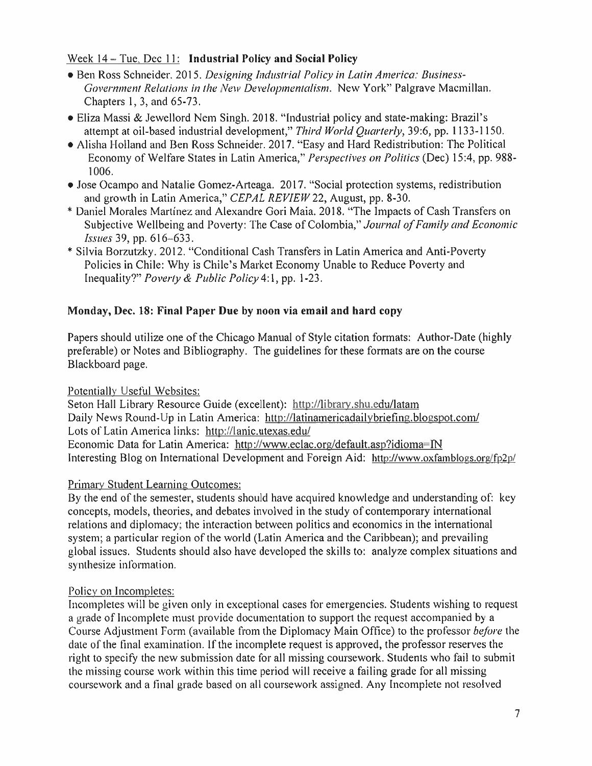#### Week 14 -Tue, Dec 11: **Industrial Policy and Social Policy**

- •Ben Ross Schneider. 2015. *Designing Industrial Policy in Latin America: Business-Government Relations in the New Developmentalism.* New York" Palgrave Macmillan. Chapters 1, 3, and 65-73.
- •Eliza Massi & Jewellord Nem Singh. 2018. "Industrial policy and state-making: Brazil's attempt at oil-based industrial development," *Third World Quarterly,* 39:6, pp. 1133-1150.
- •Alisha Holland and Ben Ross Schneider. 2017. "Easy and Hard Redistribution: The Political Economy of Welfare States in Latin America," *Perspectives on Politics* (Dec) 15:4, pp. 988- 1006.
- •Jose Ocampo and Natalie Gomez-Arteaga. 2017. "Social protection systems, redistribution and growth in Latin America," *CEPAL REVIEW* 22, August, pp. 8-30.
- •Daniel Morales Martinez and Alexandre Gori Maia. 2018. "The Impacts of Cash Transfers on Subjective Wellbeing and Poverty: The Case of Colombia," *Journal of Family and Economic Issues* 39, pp. 616-633.
- •Silvia Borzutzky. 2012. "Conditional Cash Transfers in Latin America and Anti-Poverty Policies in Chile: Why is Chile's Market Economy Unable to Reduce Poverty and Inequality?" *Poverty & Public Policy* 4:1, pp. 1-23.

## **Monday, Dec. 18: Final Paper Due by noon via email and hard copy**

Papers should utilize one of the Chicago Manual of Style citation formats: Author-Date (highly preferable) or Notes and Bibliography. The guidelines for these formats are on the course Blackboard page.

#### Potentially Useful Websites:

Seton Hall Library Resource Guide (excellent): http://librarv.shu.edu/latam Daily News Round-Up in Latin America: http://latinamericadailvbriefine.blogspot.com/ Lots of Latin America links: http://lanic.utexas.edu/ Economic Data for Latin America: http://www.eclac.org/default.asp?idioma=IN Interesting Blog on International Development and Foreign Aid: http://www.oxfamblogs.org/fp2p/

#### Primary Student Learning Outcomes:

By the end of the semester, students should have acquired knowledge and understanding of: key concepts, models, theories, and debates involved in the study of contemporary international relations and diplomacy; the interaction between politics and economics in the international system; <sup>a</sup> particular region of the world (Latin America and the Caribbean); and prevailing global issues. Students should also have developed the skills to: analyze complex situations and synthesize information.

# Policy on Incompletes:

Incompletes will be given only in exceptional cases for emergencies. Students wishing to reques<sup>t</sup> <sup>a</sup> grade of Incomplete must provide documentation to suppor<sup>t</sup> the reques<sup>t</sup> accompanied by <sup>a</sup> Course Adjustment Form (available from the Diplomacy Main Office) to the professor *before* the date of the final examination. If the incomplete reques<sup>t</sup> is approved, the professor reserves the right to specify the new submission date for all missing coursework. Students who fail to submit the missing course work within this time period will receive <sup>a</sup> failing grade for all missing coursework and <sup>a</sup> final grade based on all coursework assigned. Any Incomplete not resolved